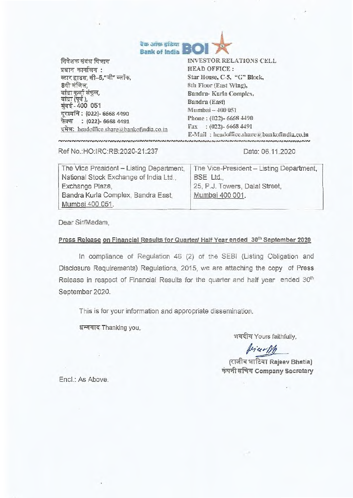

निवेशक संबंध विभाग प्रधान कार्यालय: स्टार हाउस, सी-5,"जी" ब्लॉक, 8वी मंजिल,<br>बांद्रा कुर्ला संकुल, स्टार हाउस, सा–**ः,**<br>8वी मंजिल,<br>बांद्रा कुर्ला संकुल,<br>बांद्रा (पूर्व ), **-400 051 V€-4-ft : (022)- 6668 4490 : (022)- 6668 4491**  इमेल: headoffice.share@bankofindia.co.in

**INVESTOR RELATIONS CELL HEAD OFFICE : Star House, C-5, "G" Block, 8th Floor (East Wing), Bandra- Kurla Complex, Bandra (East) Murnhai— 400 051 Phone : (022)- 6668 4490 Fax : (022)- 6668 4491 E-Mail : headoffice.share a bankofindia.co.in** 

Ref No.:HO:IRC:RB:2020-21:237

Date: 06.11.2020

| The Vice President - Listing Department, | The Vice-President - Listing Department, |
|------------------------------------------|------------------------------------------|
| National Stock Exchange of India Ltd.,   | BSE Ltd.,                                |
| Exchange Plaza,                          | 25, P.J. Towers, Dalal Street,           |
| Bandra Kurla Complex, Bandra East,       | Mumbai 400 001.                          |
| Mumbai 400 051.                          |                                          |

Dear Sir/Madam,

## **Press Release on Financial Results for Quarter/ Half Year ended 30th September 2020**

In compliance of Regulation 46 (2) of the SEBI (Listing Obligation and Disclosure Requirements) Regulations, 2015, we are attaching the copy of Press Release in respect of Financial Results for the quarter and half year ended 30<sup>th</sup> September 2020.

This is for your information and appropriate dissemination.

धन्यवाद Thanking you,

**1,1-471 Yours faithfully,** 

Direct

**;ITT Rajeev Bhatia) ;k4,41 tii;ci Company Secretary** 

End.: As Above.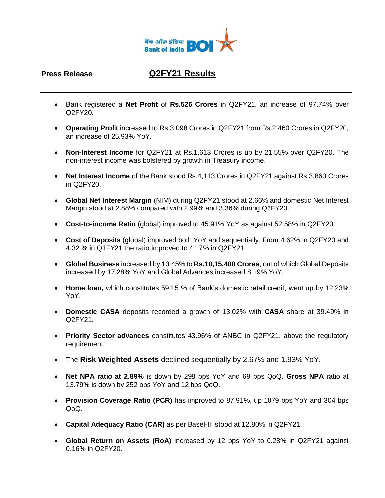

## **Press Release Q2FY21 Results**

- Bank registered a **Net Profit** of **Rs.526 Crores** in Q2FY21, an increase of 97.74% over Q2FY20.
- **Operating Profit** increased to Rs.3,098 Crores in Q2FY21 from Rs.2,460 Crores in Q2FY20, an increase of 25.93% YoY.
- **Non-Interest Income** for Q2FY21 at Rs.1,613 Crores is up by 21.55% over Q2FY20. The non-interest income was bolstered by growth in Treasury income.
- **Net Interest Income** of the Bank stood Rs.4,113 Crores in Q2FY21 against Rs.3,860 Crores in Q2FY20.
- **Global Net Interest Margin** (NIM) during Q2FY21 stood at 2.66% and domestic Net Interest Margin stood at 2.88% compared with 2.99% and 3.36% during Q2FY20.
- **Cost-to-income Ratio** (global) improved to 45.91% YoY as against 52.58% in Q2FY20.
- **Cost of Deposits** (global) improved both YoY and sequentially. From 4.62% in Q2FY20 and 4.32 % in Q1FY21 the ratio improved to 4.17% in Q2FY21.
- **Global Business** increased by 13.45% to **Rs.10,15,400 Crores**, out of which Global Deposits increased by 17.28% YoY and Global Advances increased 8.19% YoY.
- **Home loan,** which constitutes 59.15 % of Bank's domestic retail credit, went up by 12.23% YoY.
- **Domestic CASA** deposits recorded a growth of 13.02% with **CASA** share at 39.49% in Q2FY21.
- **Priority Sector advances** constitutes 43.96% of ANBC in Q2FY21, above the regulatory requirement.
- The **Risk Weighted Assets** declined sequentially by 2.67% and 1.93% YoY.
- **Net NPA ratio at 2.89%** is down by 298 bps YoY and 69 bps QoQ. **Gross NPA** ratio at 13.79% is down by 252 bps YoY and 12 bps QoQ.
- **Provision Coverage Ratio (PCR)** has improved to 87.91%, up 1079 bps YoY and 304 bps QoQ.
- **Capital Adequacy Ratio (CAR)** as per Basel-III stood at 12.80% in Q2FY21.
- **Global Return on Assets (RoA)** increased by 12 bps YoY to 0.28% in Q2FY21 against 0.16% in Q2FY20.